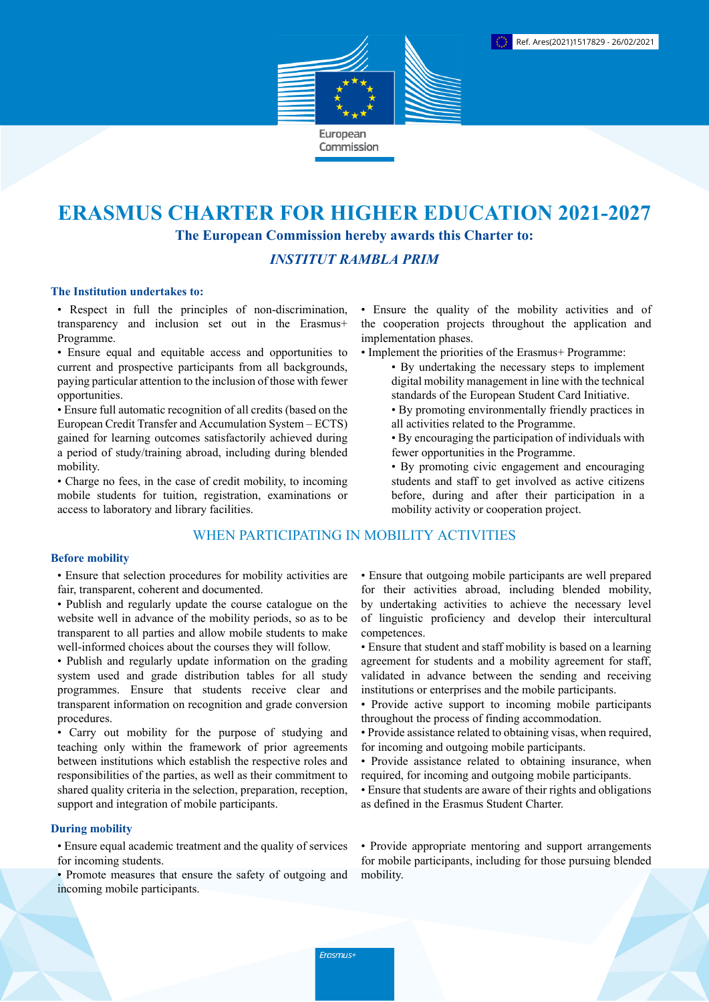

# **ERASMUS CHARTER FOR HIGHER EDUCATION 2021-2027 The European Commission hereby awards this Charter to:**

## *INSTITUT RAMBLA PRIM*

#### **The Institution undertakes to:**

• Respect in full the principles of non-discrimination, transparency and inclusion set out in the Erasmus+ Programme.

• Ensure equal and equitable access and opportunities to current and prospective participants from all backgrounds, paying particular attention to the inclusion of those with fewer opportunities.

• Ensure full automatic recognition of all credits (based on the European Credit Transfer and Accumulation System – ECTS) gained for learning outcomes satisfactorily achieved during a period of study/training abroad, including during blended mobility.

• Charge no fees, in the case of credit mobility, to incoming mobile students for tuition, registration, examinations or access to laboratory and library facilities.

## WHEN PARTICIPATING IN MOBILITY ACTIVITIES

#### **Before mobility**

• Ensure that selection procedures for mobility activities are fair, transparent, coherent and documented.

- Publish and regularly update the course catalogue on the website well in advance of the mobility periods, so as to be transparent to all parties and allow mobile students to make well-informed choices about the courses they will follow.
- Publish and regularly update information on the grading system used and grade distribution tables for all study programmes. Ensure that students receive clear and transparent information on recognition and grade conversion procedures.

• Carry out mobility for the purpose of studying and teaching only within the framework of prior agreements between institutions which establish the respective roles and responsibilities of the parties, as well as their commitment to shared quality criteria in the selection, preparation, reception, support and integration of mobile participants.

### **During mobility**

• Ensure equal academic treatment and the quality of services for incoming students.

• Promote measures that ensure the safety of outgoing and incoming mobile participants.

• Ensure the quality of the mobility activities and of the cooperation projects throughout the application and implementation phases.

- Implement the priorities of the Erasmus+ Programme:
	- By undertaking the necessary steps to implement digital mobility management in line with the technical standards of the European Student Card Initiative.
	- By promoting environmentally friendly practices in all activities related to the Programme.
	- By encouraging the participation of individuals with fewer opportunities in the Programme.
	- By promoting civic engagement and encouraging students and staff to get involved as active citizens before, during and after their participation in a mobility activity or cooperation project.

• Ensure that outgoing mobile participants are well prepared for their activities abroad, including blended mobility, by undertaking activities to achieve the necessary level of linguistic proficiency and develop their intercultural competences.

- Ensure that student and staff mobility is based on a learning agreement for students and a mobility agreement for staff, validated in advance between the sending and receiving institutions or enterprises and the mobile participants.
- Provide active support to incoming mobile participants throughout the process of finding accommodation.
- Provide assistance related to obtaining visas, when required, for incoming and outgoing mobile participants.
- Provide assistance related to obtaining insurance, when required, for incoming and outgoing mobile participants.
- Ensure that students are aware of their rights and obligations as defined in the Erasmus Student Charter.

• Provide appropriate mentoring and support arrangements for mobile participants, including for those pursuing blended mobility.

Erasmus+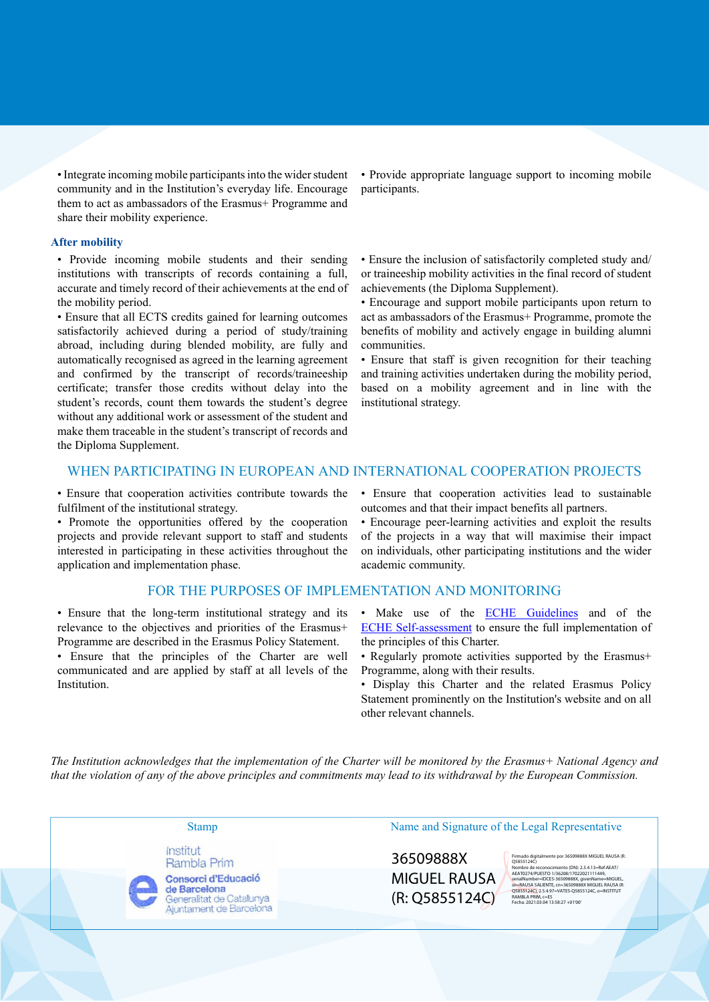• Integrate incoming mobile participants into the wider student community and in the Institution's everyday life. Encourage them to act as ambassadors of the Erasmus+ Programme and share their mobility experience.

#### **After mobility**

• Provide incoming mobile students and their sending institutions with transcripts of records containing a full, accurate and timely record of their achievements at the end of the mobility period.

• Ensure that all ECTS credits gained for learning outcomes satisfactorily achieved during a period of study/training abroad, including during blended mobility, are fully and automatically recognised as agreed in the learning agreement and confirmed by the transcript of records/traineeship certificate; transfer those credits without delay into the student's records, count them towards the student's degree without any additional work or assessment of the student and make them traceable in the student's transcript of records and the Diploma Supplement.

• Provide appropriate language support to incoming mobile participants.

• Ensure the inclusion of satisfactorily completed study and/ or traineeship mobility activities in the final record of student achievements (the Diploma Supplement).

• Encourage and support mobile participants upon return to act as ambassadors of the Erasmus+ Programme, promote the benefits of mobility and actively engage in building alumni communities.

• Ensure that staff is given recognition for their teaching and training activities undertaken during the mobility period, based on a mobility agreement and in line with the institutional strategy.

#### WHEN PARTICIPATING IN EUROPEAN AND INTERNATIONAL COOPERATION PROJECTS

• Ensure that cooperation activities contribute towards the fulfilment of the institutional strategy.

• Promote the opportunities offered by the cooperation projects and provide relevant support to staff and students interested in participating in these activities throughout the application and implementation phase.

#### FOR THE PURPOSES OF IMPLEMENTATION AND MONITORING

• Ensure that the long-term institutional strategy and its relevance to the objectives and priorities of the Erasmus+ Programme are described in the Erasmus Policy Statement.

• Ensure that the principles of the Charter are well communicated and are applied by staff at all levels of the Institution.

• Ensure that cooperation activities lead to sustainable outcomes and that their impact benefits all partners.

• Encourage peer-learning activities and exploit the results of the projects in a way that will maximise their impact on individuals, other participating institutions and the wider academic community.

- Make use of the **ECHE Guidelines** and of the [ECHE Self-assessment](https://ec.europa.eu/programmes/erasmus-plus/eche/start_en) to ensure the full implementation of the principles of this Charter.
- Regularly promote activities supported by the Erasmus+ Programme, along with their results.
- Display this Charter and the related Erasmus Policy Statement prominently on the Institution's website and on all other relevant channels.

The Institution acknowledges that the implementation of the Charter will be monitored by the Erasmus+ National Agency and that the violation of any of the above principles and commitments may lead to its withdrawal by the European Commission.

Institut Rambla Prim Consorci d'Educació

de Barcelona Generalitat de Catalunya Ajuntament de Barcelona

## Stamp Name and Signature of the Legal Representative

36509888X MIGUEL RAUSA (R: Q5855124C)

Firmado digitalmente por 36509888X MIGUEL RAUSA (R: Q5855124C) Nombre de reconocimiento (DN): 2.5.4.13=Ref:AEAT/<br>AEAT0274/PUESTO 1/36208/17022021111449,<br>SerialNumber=IDCES-36509888X, givenName=MIGUEL,<br>Sn=RAUSA SALIENTE, cn=36509888X, MIGUEL RAUSA (R:<br>Q5855124C), Z5.4.97=VATES-Q5855124 Fecha: 2021.03.04 13:58:27 +01'00'